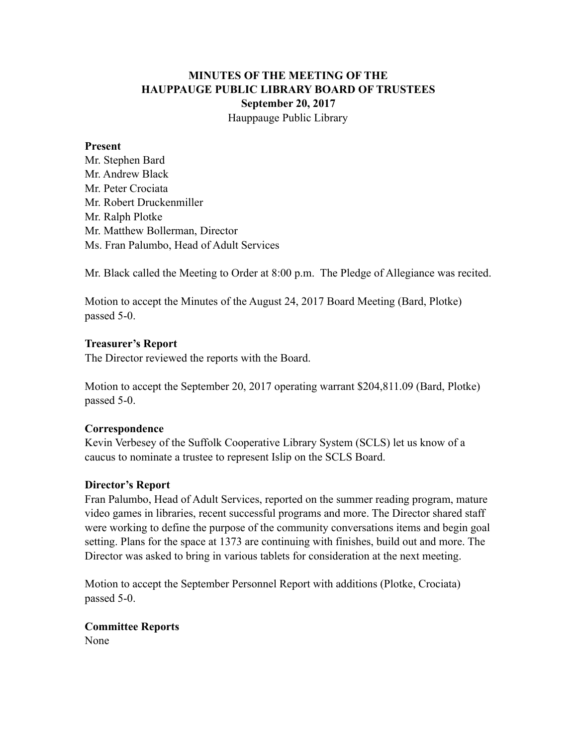# **MINUTES OF THE MEETING OF THE HAUPPAUGE PUBLIC LIBRARY BOARD OF TRUSTEES September 20, 2017** Hauppauge Public Library

#### **Present**

Mr. Stephen Bard Mr. Andrew Black Mr. Peter Crociata Mr. Robert Druckenmiller Mr. Ralph Plotke Mr. Matthew Bollerman, Director Ms. Fran Palumbo, Head of Adult Services

Mr. Black called the Meeting to Order at 8:00 p.m. The Pledge of Allegiance was recited.

Motion to accept the Minutes of the August 24, 2017 Board Meeting (Bard, Plotke) passed 5-0.

#### **Treasurer's Report**

The Director reviewed the reports with the Board.

Motion to accept the September 20, 2017 operating warrant \$204,811.09 (Bard, Plotke) passed 5-0.

#### **Correspondence**

Kevin Verbesey of the Suffolk Cooperative Library System (SCLS) let us know of a caucus to nominate a trustee to represent Islip on the SCLS Board.

#### **Director's Report**

Fran Palumbo, Head of Adult Services, reported on the summer reading program, mature video games in libraries, recent successful programs and more. The Director shared staff were working to define the purpose of the community conversations items and begin goal setting. Plans for the space at 1373 are continuing with finishes, build out and more. The Director was asked to bring in various tablets for consideration at the next meeting.

Motion to accept the September Personnel Report with additions (Plotke, Crociata) passed 5-0.

# **Committee Reports**

None